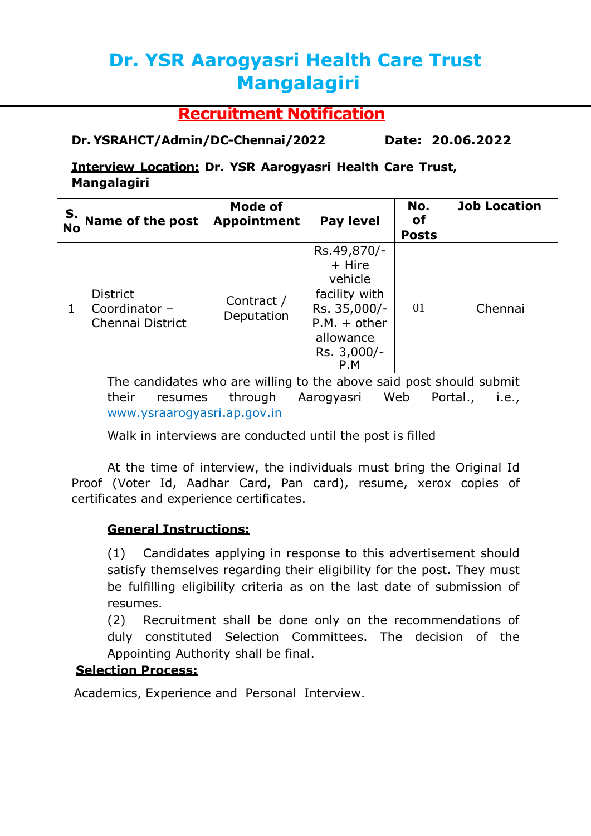# **Dr. YSR Aarogyasri Health Care Trust Mangalagiri**

## **Recruitment Notification**

## **Dr. YSRAHCT/Admin/DC-Chennai/2022 Date: 20.06.2022**

### **Interview Location: Dr. YSR Aarogyasri Health Care Trust, Mangalagiri**

| S.<br><b>No</b> | Name of the post                                     | <b>Mode of</b><br>Appointment | <b>Pay level</b>                                                                                                       | No.<br><b>of</b><br><b>Posts</b> | <b>Job Location</b> |
|-----------------|------------------------------------------------------|-------------------------------|------------------------------------------------------------------------------------------------------------------------|----------------------------------|---------------------|
|                 | <b>District</b><br>Coordinator -<br>Chennai District | Contract /<br>Deputation      | Rs.49,870/-<br>+ Hire<br>vehicle<br>facility with<br>Rs. 35,000/-<br>$P.M. + other$<br>allowance<br>Rs. 3,000/-<br>P.M | 01                               | Chennai             |

The candidates who are willing to the above said post should submit their resumes through Aarogyasri Web Portal., i.e., [www.ysraarogyasri.ap.gov.in](http://www.ysraarogyasri.ap.gov.in/)

Walk in interviews are conducted until the post is filled

At the time of interview, the individuals must bring the Original Id Proof (Voter Id, Aadhar Card, Pan card), resume, xerox copies of certificates and experience certificates.

#### **General Instructions:**

(1) Candidates applying in response to this advertisement should satisfy themselves regarding their eligibility for the post. They must be fulfilling eligibility criteria as on the last date of submission of resumes.

(2) Recruitment shall be done only on the recommendations of duly constituted Selection Committees. The decision of the Appointing Authority shall be final.

## **Selection Process:**

Academics, Experience and Personal Interview.